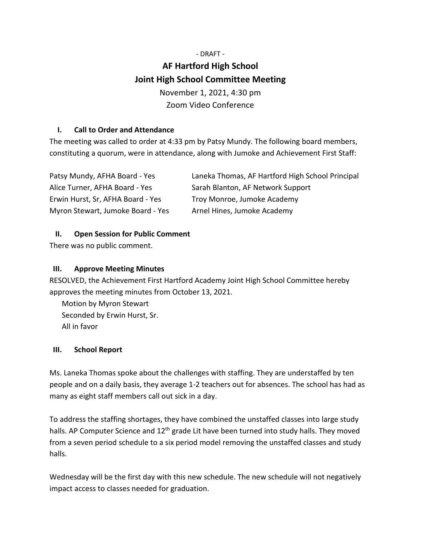# - DRAFT - **AF Hartford High School Joint High School Committee Meeting** November 1, 2021, 4:30 pm Zoom Video Conference

# **I. Call to Order and Attendance**

The meeting was called to order at 4:33 pm by Patsy Mundy. The following board members, constituting a quorum, were in attendance, along with Jumoke and Achievement First Staff:

| Patsy Mundy, AFHA Board - Yes     | Laneka Thomas, AF Hartford High School Principal |
|-----------------------------------|--------------------------------------------------|
| Alice Turner, AFHA Board - Yes    | Sarah Blanton, AF Network Support                |
| Erwin Hurst, Sr, AFHA Board - Yes | Troy Monroe, Jumoke Academy                      |
| Myron Stewart, Jumoke Board - Yes | Arnel Hines, Jumoke Academy                      |

## **II. Open Session for Public Comment**

There was no public comment.

# **III. Approve Meeting Minutes**

RESOLVED, the Achievement First Hartford Academy Joint High School Committee hereby approves the meeting minutes from October 13, 2021.

Motion by Myron Stewart Seconded by Erwin Hurst, Sr. All in favor

## **III. School Report**

Ms. Laneka Thomas spoke about the challenges with staffing. They are understaffed by ten people and on a daily basis, they average 1-2 teachers out for absences. The school has had as many as eight staff members call out sick in a day.

To address the staffing shortages, they have combined the unstaffed classes into large study halls. AP Computer Science and  $12<sup>th</sup>$  grade Lit have been turned into study halls. They moved from a seven period schedule to a six period model removing the unstaffed classes and study halls.

Wednesday will be the first day with this new schedule. The new schedule will not negatively impact access to classes needed for graduation.